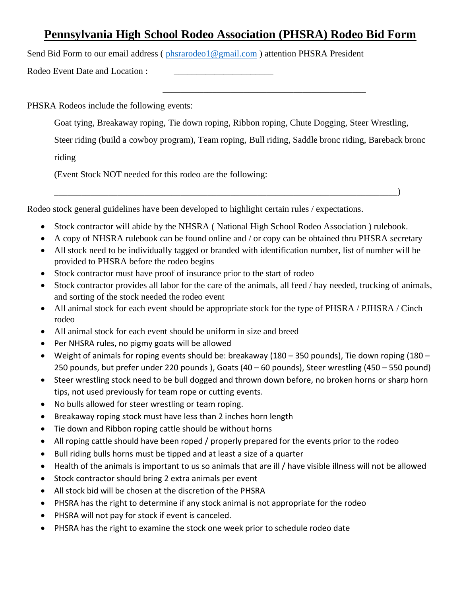## **Pennsylvania High School Rodeo Association (PHSRA) Rodeo Bid Form**

Send Bid Form to our email address (phsrarodeo1@gmail.com) attention PHSRA President

Rodeo Event Date and Location :

PHSRA Rodeos include the following events:

Goat tying, Breakaway roping, Tie down roping, Ribbon roping, Chute Dogging, Steer Wrestling,

Steer riding (build a cowboy program), Team roping, Bull riding, Saddle bronc riding, Bareback bronc

\_\_\_\_\_\_\_\_\_\_\_\_\_\_\_\_\_\_\_\_\_\_\_\_\_\_\_\_\_\_\_\_\_\_\_\_\_\_\_\_\_\_\_\_\_

riding

(Event Stock NOT needed for this rodeo are the following:

Rodeo stock general guidelines have been developed to highlight certain rules / expectations.

• Stock contractor will abide by the NHSRA ( National High School Rodeo Association ) rulebook.

\_\_\_\_\_\_\_\_\_\_\_\_\_\_\_\_\_\_\_\_\_\_\_\_\_\_\_\_\_\_\_\_\_\_\_\_\_\_\_\_\_\_\_\_\_\_\_\_\_\_\_\_\_\_\_\_\_\_\_\_\_\_\_\_\_\_\_\_\_\_\_\_\_\_\_\_)

- A copy of NHSRA rulebook can be found online and / or copy can be obtained thru PHSRA secretary
- All stock need to be individually tagged or branded with identification number, list of number will be provided to PHSRA before the rodeo begins
- Stock contractor must have proof of insurance prior to the start of rodeo
- Stock contractor provides all labor for the care of the animals, all feed / hay needed, trucking of animals, and sorting of the stock needed the rodeo event
- All animal stock for each event should be appropriate stock for the type of PHSRA / PJHSRA / Cinch rodeo
- All animal stock for each event should be uniform in size and breed
- Per NHSRA rules, no pigmy goats will be allowed
- Weight of animals for roping events should be: breakaway (180 350 pounds), Tie down roping (180 250 pounds, but prefer under 220 pounds ), Goats (40 – 60 pounds), Steer wrestling (450 – 550 pound)
- Steer wrestling stock need to be bull dogged and thrown down before, no broken horns or sharp horn tips, not used previously for team rope or cutting events.
- No bulls allowed for steer wrestling or team roping.
- Breakaway roping stock must have less than 2 inches horn length
- Tie down and Ribbon roping cattle should be without horns
- All roping cattle should have been roped / properly prepared for the events prior to the rodeo
- Bull riding bulls horns must be tipped and at least a size of a quarter
- Health of the animals is important to us so animals that are ill / have visible illness will not be allowed
- Stock contractor should bring 2 extra animals per event
- All stock bid will be chosen at the discretion of the PHSRA
- PHSRA has the right to determine if any stock animal is not appropriate for the rodeo
- PHSRA will not pay for stock if event is canceled.
- PHSRA has the right to examine the stock one week prior to schedule rodeo date